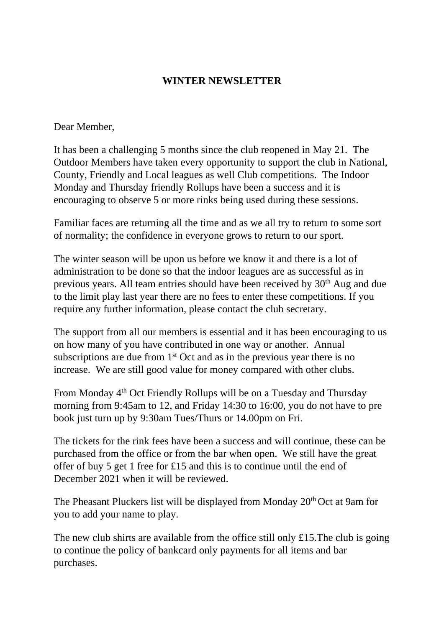## **WINTER NEWSLETTER**

### Dear Member,

It has been a challenging 5 months since the club reopened in May 21. The Outdoor Members have taken every opportunity to support the club in National, County, Friendly and Local leagues as well Club competitions. The Indoor Monday and Thursday friendly Rollups have been a success and it is encouraging to observe 5 or more rinks being used during these sessions.

Familiar faces are returning all the time and as we all try to return to some sort of normality; the confidence in everyone grows to return to our sport.

The winter season will be upon us before we know it and there is a lot of administration to be done so that the indoor leagues are as successful as in previous years. All team entries should have been received by 30<sup>th</sup> Aug and due to the limit play last year there are no fees to enter these competitions. If you require any further information, please contact the club secretary.

The support from all our members is essential and it has been encouraging to us on how many of you have contributed in one way or another. Annual subscriptions are due from  $1<sup>st</sup>$  Oct and as in the previous year there is no increase. We are still good value for money compared with other clubs.

From Monday 4th Oct Friendly Rollups will be on a Tuesday and Thursday morning from 9:45am to 12, and Friday 14:30 to 16:00, you do not have to pre book just turn up by 9:30am Tues/Thurs or 14.00pm on Fri.

The tickets for the rink fees have been a success and will continue, these can be purchased from the office or from the bar when open. We still have the great offer of buy 5 get 1 free for £15 and this is to continue until the end of December 2021 when it will be reviewed.

The Pheasant Pluckers list will be displayed from Monday 20<sup>th</sup> Oct at 9am for you to add your name to play.

The new club shirts are available from the office still only £15.The club is going to continue the policy of bankcard only payments for all items and bar purchases.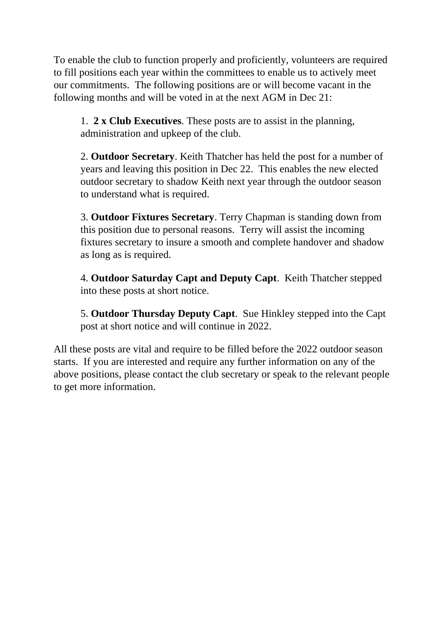To enable the club to function properly and proficiently, volunteers are required to fill positions each year within the committees to enable us to actively meet our commitments. The following positions are or will become vacant in the following months and will be voted in at the next AGM in Dec 21:

1. **2 x Club Executives**. These posts are to assist in the planning, administration and upkeep of the club.

2. **Outdoor Secretary**. Keith Thatcher has held the post for a number of years and leaving this position in Dec 22. This enables the new elected outdoor secretary to shadow Keith next year through the outdoor season to understand what is required.

3. **Outdoor Fixtures Secretary**. Terry Chapman is standing down from this position due to personal reasons. Terry will assist the incoming fixtures secretary to insure a smooth and complete handover and shadow as long as is required.

4. **Outdoor Saturday Capt and Deputy Capt**. Keith Thatcher stepped into these posts at short notice.

5. **Outdoor Thursday Deputy Capt**. Sue Hinkley stepped into the Capt post at short notice and will continue in 2022.

All these posts are vital and require to be filled before the 2022 outdoor season starts. If you are interested and require any further information on any of the above positions, please contact the club secretary or speak to the relevant people to get more information.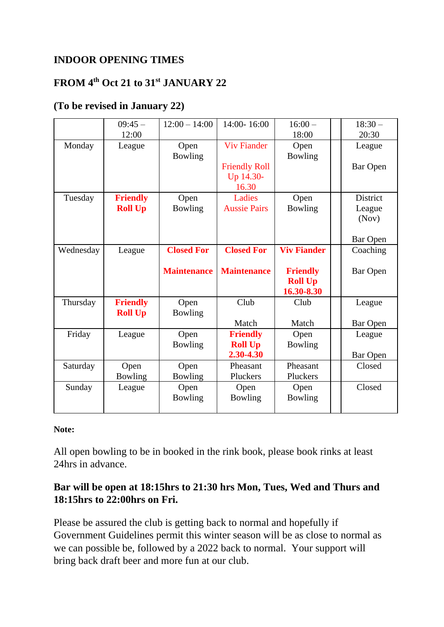# **INDOOR OPENING TIMES**

# **FROM 4th Oct 21 to 31st JANUARY 22**

# **(To be revised in January 22)**

|           | $09:45-$<br>12:00                 | $12:00 - 14:00$        | 14:00-16:00                                    | $16:00 -$<br>18:00                              | $18:30-$<br>20:30                              |
|-----------|-----------------------------------|------------------------|------------------------------------------------|-------------------------------------------------|------------------------------------------------|
| Monday    | League                            | Open<br><b>Bowling</b> | <b>Viv Fiander</b><br><b>Friendly Roll</b>     | Open<br>Bowling                                 | League<br><b>Bar Open</b>                      |
|           |                                   |                        | Up 14.30-<br>16.30                             |                                                 |                                                |
| Tuesday   | <b>Friendly</b><br><b>Roll Up</b> | Open<br><b>Bowling</b> | Ladies<br><b>Aussie Pairs</b>                  | Open<br>Bowling                                 | <b>District</b><br>League<br>(Nov)<br>Bar Open |
| Wednesday | League                            | <b>Closed For</b>      | <b>Closed For</b>                              | <b>Viv Fiander</b>                              | Coaching                                       |
|           |                                   |                        |                                                |                                                 |                                                |
|           |                                   | <b>Maintenance</b>     | <b>Maintenance</b>                             | <b>Friendly</b><br><b>Roll Up</b><br>16.30-8.30 | Bar Open                                       |
| Thursday  | <b>Friendly</b>                   | Open                   | Club                                           | Club                                            | League                                         |
|           | <b>Roll Up</b>                    | Bowling                | Match                                          | Match                                           | Bar Open                                       |
| Friday    | League                            | Open<br>Bowling        | <b>Friendly</b><br><b>Roll Up</b><br>2.30-4.30 | Open<br>Bowling                                 | League                                         |
| Saturday  | Open<br><b>Bowling</b>            | Open<br><b>Bowling</b> | Pheasant<br>Pluckers                           | Pheasant<br>Pluckers                            | <b>Bar Open</b><br>Closed                      |

#### **Note:**

All open bowling to be in booked in the rink book, please book rinks at least 24hrs in advance.

## **Bar will be open at 18:15hrs to 21:30 hrs Mon, Tues, Wed and Thurs and 18:15hrs to 22:00hrs on Fri.**

Please be assured the club is getting back to normal and hopefully if Government Guidelines permit this winter season will be as close to normal as we can possible be, followed by a 2022 back to normal. Your support will bring back draft beer and more fun at our club.